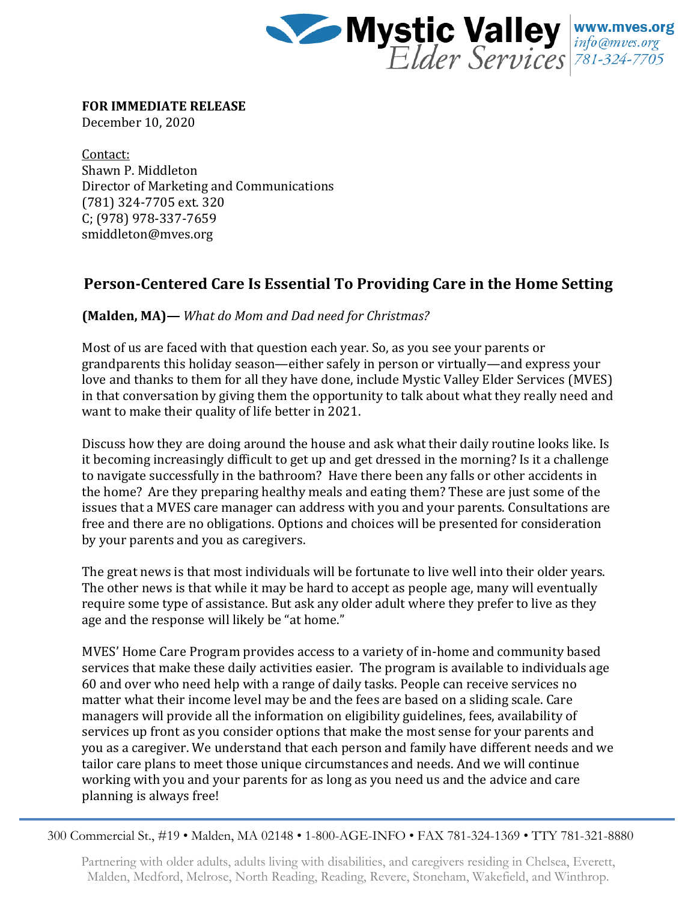

**FOR IMMEDIATE RELEASE**

December 10, 2020

Contact: Shawn P. Middleton Director of Marketing and Communications (781) 324-7705 ext. 320 C; (978) 978-337-7659 smiddleton@mves.org

## **Person-Centered Care Is Essential To Providing Care in the Home Setting**

**(Malden, MA)—** *What do Mom and Dad need for Christmas?*

Most of us are faced with that question each year. So, as you see your parents or grandparents this holiday season—either safely in person or virtually—and express your love and thanks to them for all they have done, include Mystic Valley Elder Services (MVES) in that conversation by giving them the opportunity to talk about what they really need and want to make their quality of life better in 2021.

Discuss how they are doing around the house and ask what their daily routine looks like. Is it becoming increasingly difficult to get up and get dressed in the morning? Is it a challenge to navigate successfully in the bathroom? Have there been any falls or other accidents in the home? Are they preparing healthy meals and eating them? These are just some of the issues that a MVES care manager can address with you and your parents. Consultations are free and there are no obligations. Options and choices will be presented for consideration by your parents and you as caregivers.

The great news is that most individuals will be fortunate to live well into their older years. The other news is that while it may be hard to accept as people age, many will eventually require some type of assistance. But ask any older adult where they prefer to live as they age and the response will likely be "at home."

MVES' Home Care Program provides access to a variety of in-home and community based services that make these daily activities easier. The program is available to individuals age 60 and over who need help with a range of daily tasks. People can receive services no matter what their income level may be and the fees are based on a sliding scale. Care managers will provide all the information on eligibility guidelines, fees, availability of services up front as you consider options that make the most sense for your parents and you as a caregiver. We understand that each person and family have different needs and we tailor care plans to meet those unique circumstances and needs. And we will continue working with you and your parents for as long as you need us and the advice and care planning is always free!

300 Commercial St., #19 • Malden, MA 02148 • 1-800-AGE-INFO • FAX 781-324-1369 • TTY 781-321-8880

Partnering with older adults, adults living with disabilities, and caregivers residing in Chelsea, Everett, Malden, Medford, Melrose, North Reading, Reading, Revere, Stoneham, Wakefield, and Winthrop.